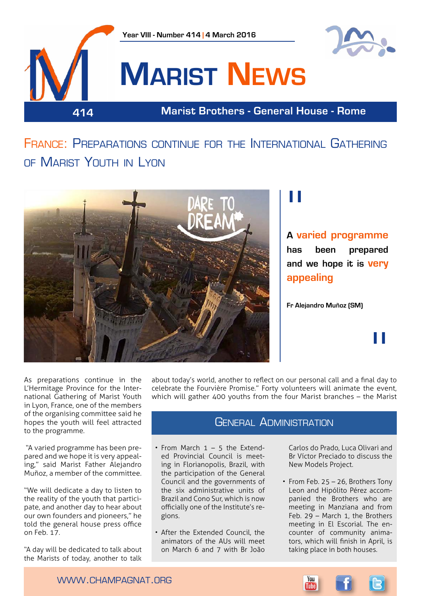

## France: Preparations continue for the International Gathering of Marist Youth in Lyon



## "

**A varied programme has been prepared and we hope it is very appealing**

**Fr Alejandro Muñoz (SM)**

"

As preparations continue in the L'Hermitage Province for the International Gathering of Marist Youth in Lyon, France, one of the members of the organising committee said he hopes the youth will feel attracted to the programme.

 "A varied programme has been prepared and we hope it is very appealing," said Marist Father Alejandro Muñoz, a member of the committee.

"We will dedicate a day to listen to the reality of the youth that participate, and another day to hear about our own founders and pioneers," he told the general house press office on Feb. 17.

"A day will be dedicated to talk about the Marists of today, another to talk

about today's world, another to reflect on our personal call and a final day to celebrate the Fourvière Promise." Forty volunteers will animate the event, which will gather 400 youths from the four Marist branches – the Marist

## GENERAL ADMINISTRATION

- From March 1 5 the Extended Provincial Council is meeting in Florianopolis, Brazil, with the participation of the General Council and the governments of the six administrative units of Brazil and Cono Sur, which is now officially one of the Institute's regions.
- After the Extended Council, the animators of the AUs will meet on March 6 and 7 with Br João

Carlos do Prado, Luca Olivari and Br Víctor Preciado to discuss the New Models Project.

• From Feb. 25 – 26, Brothers Tony Leon and Hipólito Pérez accompanied the Brothers who are meeting in Manziana and from Feb. 29 – March 1, the Brothers meeting in El Escorial. The encounter of community animators, which will finish in April, is taking place in both houses.



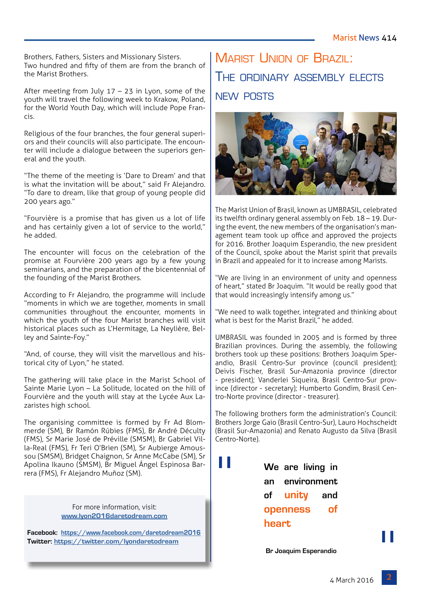Brothers, Fathers, Sisters and Missionary Sisters. Two hundred and fifty of them are from the branch of the Marist Brothers.

After meeting from July 17 – 23 in Lyon, some of the youth will travel the following week to Krakow, Poland, for the World Youth Day, which will include Pope Francis.

Religious of the four branches, the four general superiors and their councils will also participate. The encounter will include a dialogue between the superiors general and the youth.

"The theme of the meeting is 'Dare to Dream' and that is what the invitation will be about," said Fr Alejandro. "To dare to dream, like that group of young people did 200 years ago."

"Fourvière is a promise that has given us a lot of life and has certainly given a lot of service to the world," he added.

The encounter will focus on the celebration of the promise at Fourvière 200 years ago by a few young seminarians, and the preparation of the bicentennial of the founding of the Marist Brothers.

According to Fr Alejandro, the programme will include "moments in which we are together, moments in small communities throughout the encounter, moments in which the youth of the four Marist branches will visit historical places such as L'Hermitage, La Neylière, Belley and Sainte-Foy."

"And, of course, they will visit the marvellous and historical city of Lyon," he stated.

The gathering will take place in the Marist School of Sainte Marie Lyon – La Solitude, located on the hill of Fourvière and the youth will stay at the Lycée Aux Lazaristes high school.

The organising committee is formed by Fr Ad Blommerde (SM), Br Ramón Rúbies (FMS), Br André Déculty (FMS), Sr Marie José de Préville (SMSM), Br Gabriel Villa-Real (FMS), Fr Teri O'Brien (SM), Sr Aubierge Amoussou (SMSM), Bridget Chaignon, Sr Anne McCabe (SM), Sr Apolina Ikauno (SMSM), Br Miguel Ángel Espinosa Barrera (FMS), Fr Alejandro Muñoz (SM).

> For more information, visit: **[www.lyon2016daretodream.com](http://www.lyon2016daretodream.com)**

**Facebook: <https://www.facebook.com/daretodream2016> Twitter: <https://twitter.com/lyondaretodream>**

## Marist Union of Brazil: The ordinary assembly elects new posts



The Marist Union of Brasil, known as UMBRASIL, celebrated its twelfth ordinary general assembly on Feb. 18 – 19. During the event, the new members of the organisation's management team took up office and approved the projects for 2016. Brother Joaquim Esperandio, the new president of the Council, spoke about the Marist spirit that prevails in Brazil and appealed for it to increase among Marists.

"We are living in an environment of unity and openness of heart," stated Br Joaquim. "It would be really good that that would increasingly intensify among us."

"We need to walk together, integrated and thinking about what is best for the Marist Brazil." he added.

UMBRASIL was founded in 2005 and is formed by three Brazilian provinces. During the assembly, the following brothers took up these positions: Brothers Joaquim Sperandio, Brasil Centro-Sur province (council president); Deivis Fischer, Brasil Sur-Amazonia province (director - president); Vanderlei Siqueira, Brasil Centro-Sur province (director - secretary); Humberto Gondim, Brasil Centro-Norte province (director - treasurer).

The following brothers form the administration's Council: Brothers Jorge Gaio (Brasil Centro-Sur), Lauro Hochscheidt (Brasil Sur-Amazonia) and Renato Augusto da Silva (Brasil Centro-Norte).

> **We are living in an environment of unity and openness of heart**

"

 **Br Joaquim Esperandio**

וו<br>...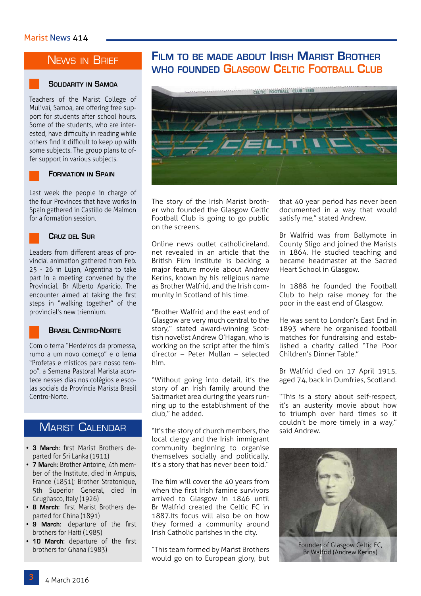## News in Brief

#### **Solidarity in Samoa**

Teachers of the Marist College of Mulivai, Samoa, are offering free support for students after school hours. Some of the students, who are interested, have difficulty in reading while others find it difficult to keep up with some subjects. The group plans to offer support in various subjects.

#### **Formation in Spain**

Last week the people in charge of the four Provinces that have works in Spain gathered in Castillo de Maimon for a formation session.



#### **Cruz del Sur**

Leaders from different areas of provincial animation gathered from Feb. 25 - 26 in Lujan, Argentina to take part in a meeting convened by the Provincial, Br Alberto Aparicio. The encounter aimed at taking the first steps in "walking together" of the provincial's new triennium.



#### **Brasil Centro-Norte**

Com o tema "Herdeiros da promessa, rumo a um novo começo" e o lema "Profetas e místicos para nosso tempo", a Semana Pastoral Marista acontece nesses dias nos colégios e escolas sociais da Província Marista Brasil Centro-Norte.

## **MARIST CALENDAR**

- **• 3 March:** first Marist Brothers departed for Sri Lanka (1911)
- **• 7 March:** Brother Antoine, 4th member of the Institute, died in Ampuis, France (1851); Brother Stratonique, 5th Superior General, died in Grugliasco, Italy (1926)
- **• 8 March:** first Marist Brothers departed for China (1891)
- **• 9 March:** departure of the first brothers for Haiti (1985)
- **• 10 March:** departure of the first brothers for Ghana (1983)

## **Film to be made about Irish Marist Brother who founded Glasgow Celtic Football Club**



The story of the Irish Marist brother who founded the Glasgow Celtic Football Club is going to go public on the screens.

Online news outlet catholicireland. net revealed in an article that the British Film Institute is backing a major feature movie about Andrew Kerins, known by his religious name as Brother Walfrid, and the Irish community in Scotland of his time.

"Brother Walfrid and the east end of Glasgow are very much central to the story," stated award-winning Scottish novelist Andrew O'Hagan, who is working on the script after the film's director – Peter Mullan – selected him.

"Without going into detail, it's the story of an Irish family around the Saltmarket area during the years running up to the establishment of the club," he added.

"It's the story of church members, the local clergy and the Irish immigrant community beginning to organise themselves socially and politically, it's a story that has never been told."

The film will cover the 40 years from when the first Irish famine survivors arrived to Glasgow in 1846 until Br Walfrid created the Celtic FC in 1887.Its focus will also be on how they formed a community around Irish Catholic parishes in the city.

"This team formed by Marist Brothers would go on to European glory, but that 40 year period has never been documented in a way that would satisfy me," stated Andrew.

Br Walfrid was from Ballymote in County Sligo and joined the Marists in 1864. He studied teaching and became headmaster at the Sacred Heart School in Glasgow.

In 1888 he founded the Football Club to help raise money for the poor in the east end of Glasgow.

He was sent to London's East End in 1893 where he organised football matches for fundraising and established a charity called "The Poor Children's Dinner Table."

Br Walfrid died on 17 April 1915, aged 74, back in Dumfries, Scotland.

"This is a story about self-respect, it's an austerity movie about how to triumph over hard times so it couldn't be more timely in a way," said Andrew.



Founder of Glasgow Celtic FC, Br Walfrid (Andrew Kerins)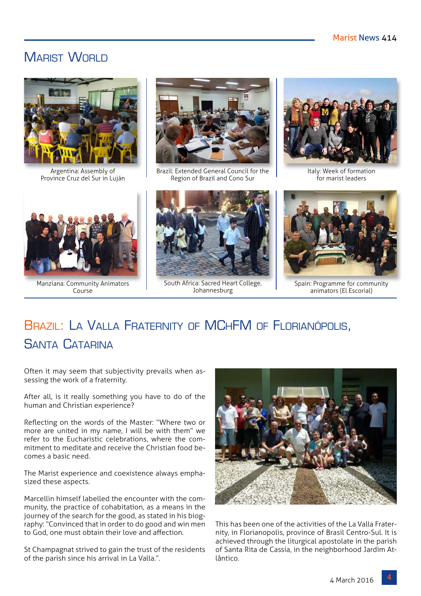## MARIST WORLD



Argentina: Assembly of Province Cruz del Sur in Luján



Brazil: Extended General Council for the Region of Brazil and Cono Sur



for marist leaders



Manziana: Community Animators Course



South Africa: Sacred Heart College, Johannesburg



Spain: Programme for community animators (El Escorial)

## BRAZIL: LA VALLA FRATERNITY OF MCHFM OF FLORIANÓPOLIS, Santa Catarina

Often it may seem that subjectivity prevails when assessing the work of a fraternity.

After all, is it really something you have to do of the human and Christian experience?

Reflecting on the words of the Master: "Where two or more are united in my name, I will be with them" we refer to the Eucharistic celebrations, where the commitment to meditate and receive the Christian food becomes a basic need.

The Marist experience and coexistence always emphasized these aspects.

Marcellin himself labelled the encounter with the community, the practice of cohabitation, as a means in the journey of the search for the good, as stated in his biography: "Convinced that in order to do good and win men to God, one must obtain their love and affection.

St Champagnat strived to gain the trust of the residents of the parish since his arrival in La Valla.".



This has been one of the activities of the La Valla Fraternity, in Florianopolis, province of Brasil Centro-Sul. It is achieved through the liturgical apostolate in the parish of Santa Rita de Cassia, in the neighborhood Jardim Atlântico.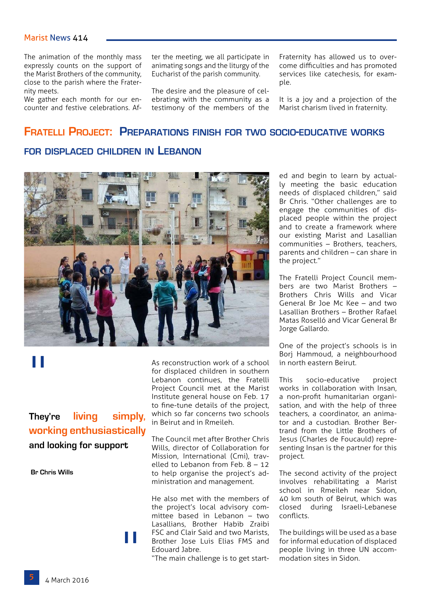#### Marist News 414

The animation of the monthly mass expressly counts on the support of the Marist Brothers of the community, close to the parish where the Fraternity meets.

We gather each month for our encounter and festive celebrations. After the meeting, we all participate in animating songs and the liturgy of the Eucharist of the parish community.

The desire and the pleasure of celebrating with the community as a testimony of the members of the

Fraternity has allowed us to overcome difficulties and has promoted services like catechesis, for example.

It is a joy and a projection of the Marist charism lived in fraternity.

## **Fratelli Project: Preparations finish for two socio-educative works**

## **for displaced children in Lebanon**



# "

## **They're living simply, working enthusiastically and looking for support**

"

 **Br Chris Wills**

As reconstruction work of a school for displaced children in southern Lebanon continues, the Fratelli Project Council met at the Marist Institute general house on Feb. 17 to fine-tune details of the project, which so far concerns two schools in Beirut and in Rmeileh.

The Council met after Brother Chris Wills, director of Collaboration for Mission, International (Cmi), travelled to Lebanon from Feb. 8 – 12 to help organise the project's administration and management.

He also met with the members of the project's local advisory committee based in Lebanon – two Lasallians, Brother Habib Zraibi FSC and Clair Said and two Marists, Brother Jose Luis Elias FMS and Edouard Jabre.

"The main challenge is to get start-

ed and begin to learn by actually meeting the basic education needs of displaced children," said Br Chris. "Other challenges are to engage the communities of displaced people within the project and to create a framework where our existing Marist and Lasallian communities – Brothers, teachers, parents and children – can share in the project."

The Fratelli Project Council members are two Marist Brothers – Brothers Chris Wills and Vicar General Br Joe Mc Kee – and two Lasallian Brothers – Brother Rafael Matas Roselló and Vicar General Br Jorge Gallardo.

One of the project's schools is in Borj Hammoud, a neighbourhood in north eastern Beirut.

This socio-educative project works in collaboration with Insan, a non-profit humanitarian organisation, and with the help of three teachers, a coordinator, an animator and a custodian. Brother Bertrand from the Little Brothers of Jesus (Charles de Foucauld) representing Insan is the partner for this project.

The second activity of the project involves rehabilitating a Marist school in Rmeileh near Sidon, 40 km south of Beirut, which was closed during Israeli-Lebanese conflicts.

The buildings will be used as a base for informal education of displaced people living in three UN accommodation sites in Sidon.